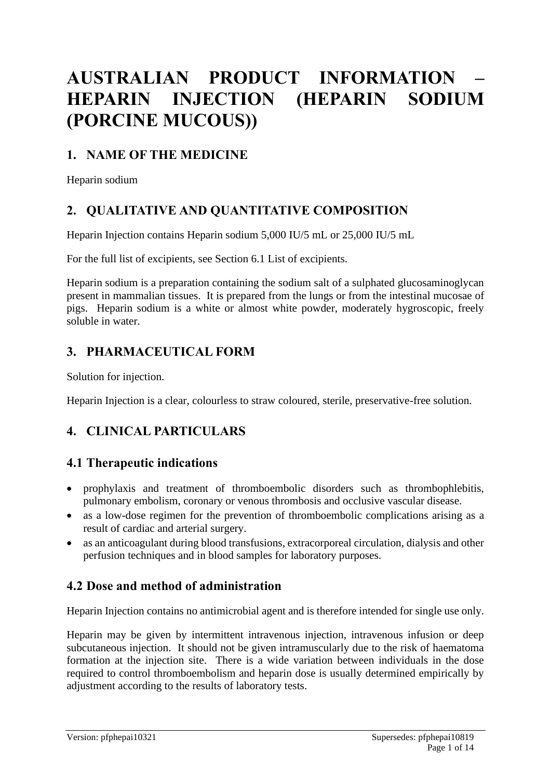# **AUSTRALIAN PRODUCT INFORMATION – HEPARIN INJECTION (HEPARIN SODIUM (PORCINE MUCOUS))**

# **1. NAME OF THE MEDICINE**

Heparin sodium

# **2. QUALITATIVE AND QUANTITATIVE COMPOSITION**

Heparin Injection contains Heparin sodium 5,000 IU/5 mL or 25,000 IU/5 mL

For the full list of excipients, see Section 6.1 List of excipients.

Heparin sodium is a preparation containing the sodium salt of a sulphated glucosaminoglycan present in mammalian tissues. It is prepared from the lungs or from the intestinal mucosae of pigs. Heparin sodium is a white or almost white powder, moderately hygroscopic, freely soluble in water.

# **3. PHARMACEUTICAL FORM**

Solution for injection.

Heparin Injection is a clear, colourless to straw coloured, sterile, preservative-free solution.

# **4. CLINICAL PARTICULARS**

# **4.1 Therapeutic indications**

- prophylaxis and treatment of thromboembolic disorders such as thrombophlebitis, pulmonary embolism, coronary or venous thrombosis and occlusive vascular disease.
- as a low-dose regimen for the prevention of thromboembolic complications arising as a result of cardiac and arterial surgery.
- as an anticoagulant during blood transfusions, extracorporeal circulation, dialysis and other perfusion techniques and in blood samples for laboratory purposes.

# **4.2 Dose and method of administration**

Heparin Injection contains no antimicrobial agent and is therefore intended for single use only.

Heparin may be given by intermittent intravenous injection, intravenous infusion or deep subcutaneous injection. It should not be given intramuscularly due to the risk of haematoma formation at the injection site. There is a wide variation between individuals in the dose required to control thromboembolism and heparin dose is usually determined empirically by adjustment according to the results of laboratory tests.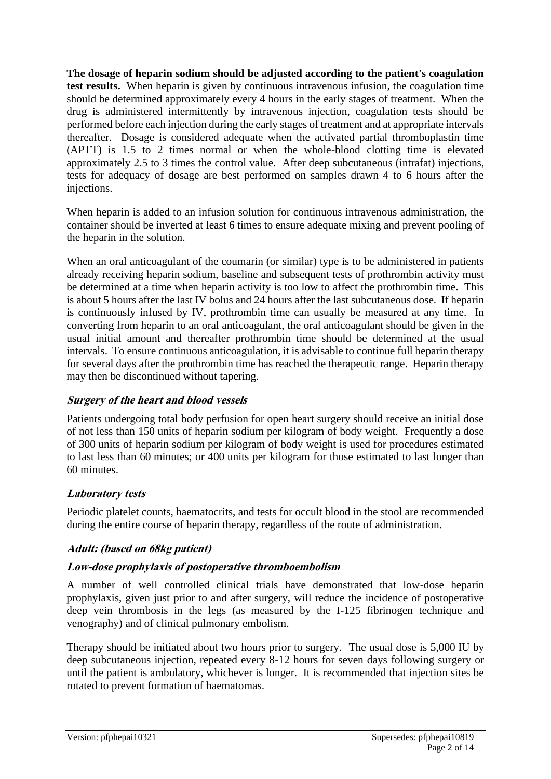**The dosage of heparin sodium should be adjusted according to the patient's coagulation test results.** When heparin is given by continuous intravenous infusion, the coagulation time should be determined approximately every 4 hours in the early stages of treatment. When the drug is administered intermittently by intravenous injection, coagulation tests should be performed before each injection during the early stages of treatment and at appropriate intervals thereafter. Dosage is considered adequate when the activated partial thromboplastin time (APTT) is 1.5 to 2 times normal or when the whole-blood clotting time is elevated approximately 2.5 to 3 times the control value. After deep subcutaneous (intrafat) injections, tests for adequacy of dosage are best performed on samples drawn 4 to 6 hours after the injections.

When heparin is added to an infusion solution for continuous intravenous administration, the container should be inverted at least 6 times to ensure adequate mixing and prevent pooling of the heparin in the solution.

When an oral anticoagulant of the coumarin (or similar) type is to be administered in patients already receiving heparin sodium, baseline and subsequent tests of prothrombin activity must be determined at a time when heparin activity is too low to affect the prothrombin time. This is about 5 hours after the last IV bolus and 24 hours after the last subcutaneous dose. If heparin is continuously infused by IV, prothrombin time can usually be measured at any time. In converting from heparin to an oral anticoagulant, the oral anticoagulant should be given in the usual initial amount and thereafter prothrombin time should be determined at the usual intervals. To ensure continuous anticoagulation, it is advisable to continue full heparin therapy for several days after the prothrombin time has reached the therapeutic range. Heparin therapy may then be discontinued without tapering.

### **Surgery of the heart and blood vessels**

Patients undergoing total body perfusion for open heart surgery should receive an initial dose of not less than 150 units of heparin sodium per kilogram of body weight. Frequently a dose of 300 units of heparin sodium per kilogram of body weight is used for procedures estimated to last less than 60 minutes; or 400 units per kilogram for those estimated to last longer than 60 minutes.

# **Laboratory tests**

Periodic platelet counts, haematocrits, and tests for occult blood in the stool are recommended during the entire course of heparin therapy, regardless of the route of administration.

### **Adult: (based on 68kg patient)**

### **Low-dose prophylaxis of postoperative thromboembolism**

A number of well controlled clinical trials have demonstrated that low-dose heparin prophylaxis, given just prior to and after surgery, will reduce the incidence of postoperative deep vein thrombosis in the legs (as measured by the I-125 fibrinogen technique and venography) and of clinical pulmonary embolism.

Therapy should be initiated about two hours prior to surgery. The usual dose is 5,000 IU by deep subcutaneous injection, repeated every 8-12 hours for seven days following surgery or until the patient is ambulatory, whichever is longer. It is recommended that injection sites be rotated to prevent formation of haematomas.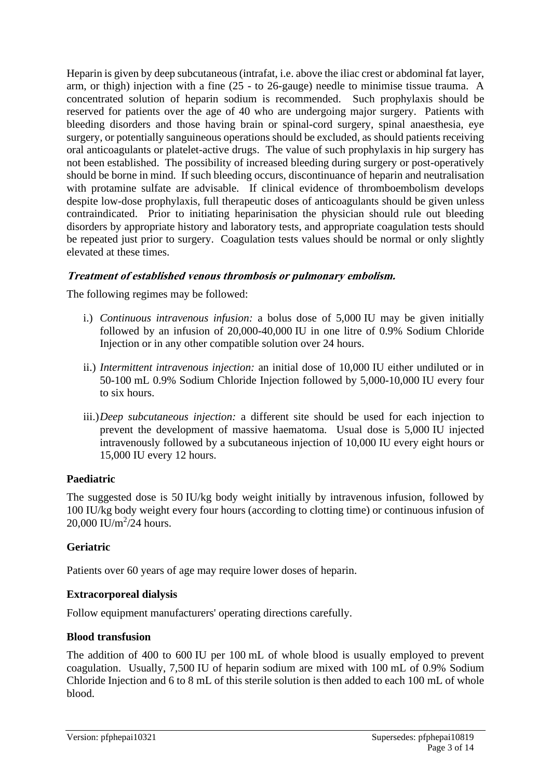Heparin is given by deep subcutaneous (intrafat, i.e. above the iliac crest or abdominal fat layer, arm, or thigh) injection with a fine (25 - to 26-gauge) needle to minimise tissue trauma. A concentrated solution of heparin sodium is recommended. Such prophylaxis should be reserved for patients over the age of 40 who are undergoing major surgery. Patients with bleeding disorders and those having brain or spinal-cord surgery, spinal anaesthesia, eye surgery, or potentially sanguineous operations should be excluded, as should patients receiving oral anticoagulants or platelet-active drugs. The value of such prophylaxis in hip surgery has not been established. The possibility of increased bleeding during surgery or post-operatively should be borne in mind. If such bleeding occurs, discontinuance of heparin and neutralisation with protamine sulfate are advisable. If clinical evidence of thromboembolism develops despite low-dose prophylaxis, full therapeutic doses of anticoagulants should be given unless contraindicated. Prior to initiating heparinisation the physician should rule out bleeding disorders by appropriate history and laboratory tests, and appropriate coagulation tests should be repeated just prior to surgery. Coagulation tests values should be normal or only slightly elevated at these times.

### **Treatment of established venous thrombosis or pulmonary embolism.**

The following regimes may be followed:

- i.) *Continuous intravenous infusion:* a bolus dose of 5,000 IU may be given initially followed by an infusion of 20,000-40,000 IU in one litre of 0.9% Sodium Chloride Injection or in any other compatible solution over 24 hours.
- ii.) *Intermittent intravenous injection:* an initial dose of 10,000 IU either undiluted or in 50-100 mL 0.9% Sodium Chloride Injection followed by 5,000-10,000 IU every four to six hours.
- iii.)*Deep subcutaneous injection:* a different site should be used for each injection to prevent the development of massive haematoma. Usual dose is 5,000 IU injected intravenously followed by a subcutaneous injection of 10,000 IU every eight hours or 15,000 IU every 12 hours.

#### **Paediatric**

The suggested dose is 50 IU/kg body weight initially by intravenous infusion, followed by 100 IU/kg body weight every four hours (according to clotting time) or continuous infusion of 20,000 IU/m<sup>2</sup>/24 hours.

#### **Geriatric**

Patients over 60 years of age may require lower doses of heparin.

#### **Extracorporeal dialysis**

Follow equipment manufacturers' operating directions carefully.

#### **Blood transfusion**

The addition of 400 to 600 IU per 100 mL of whole blood is usually employed to prevent coagulation. Usually, 7,500 IU of heparin sodium are mixed with 100 mL of 0.9% Sodium Chloride Injection and 6 to 8 mL of this sterile solution is then added to each 100 mL of whole blood.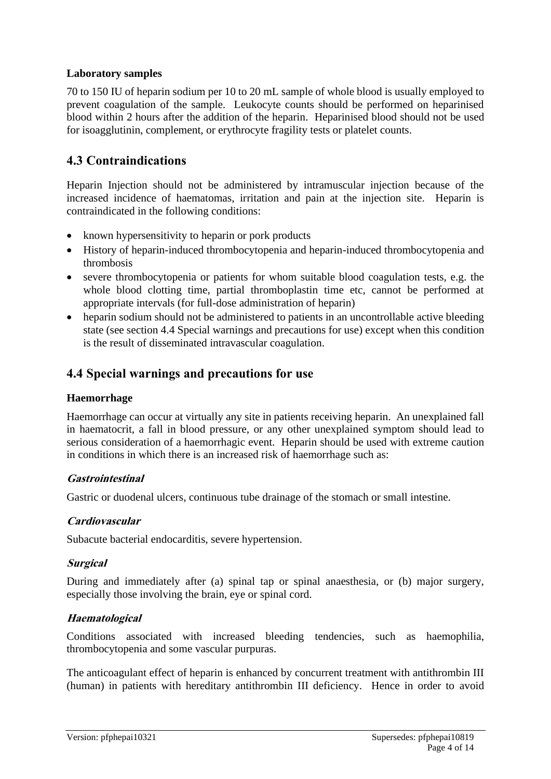### **Laboratory samples**

70 to 150 IU of heparin sodium per 10 to 20 mL sample of whole blood is usually employed to prevent coagulation of the sample. Leukocyte counts should be performed on heparinised blood within 2 hours after the addition of the heparin. Heparinised blood should not be used for isoagglutinin, complement, or erythrocyte fragility tests or platelet counts.

# **4.3 Contraindications**

Heparin Injection should not be administered by intramuscular injection because of the increased incidence of haematomas, irritation and pain at the injection site. Heparin is contraindicated in the following conditions:

- known hypersensitivity to heparin or pork products
- History of heparin-induced thrombocytopenia and heparin-induced thrombocytopenia and thrombosis
- severe thrombocytopenia or patients for whom suitable blood coagulation tests, e.g. the whole blood clotting time, partial thromboplastin time etc, cannot be performed at appropriate intervals (for full-dose administration of heparin)
- heparin sodium should not be administered to patients in an uncontrollable active bleeding state (see section 4.4 Special warnings and precautions for use) except when this condition is the result of disseminated intravascular coagulation.

# **4.4 Special warnings and precautions for use**

#### **Haemorrhage**

Haemorrhage can occur at virtually any site in patients receiving heparin. An unexplained fall in haematocrit, a fall in blood pressure, or any other unexplained symptom should lead to serious consideration of a haemorrhagic event. Heparin should be used with extreme caution in conditions in which there is an increased risk of haemorrhage such as:

#### **Gastrointestinal**

Gastric or duodenal ulcers, continuous tube drainage of the stomach or small intestine.

### **Cardiovascular**

Subacute bacterial endocarditis, severe hypertension.

### **Surgical**

During and immediately after (a) spinal tap or spinal anaesthesia, or (b) major surgery, especially those involving the brain, eye or spinal cord.

### **Haematological**

Conditions associated with increased bleeding tendencies, such as haemophilia, thrombocytopenia and some vascular purpuras.

The anticoagulant effect of heparin is enhanced by concurrent treatment with antithrombin III (human) in patients with hereditary antithrombin III deficiency. Hence in order to avoid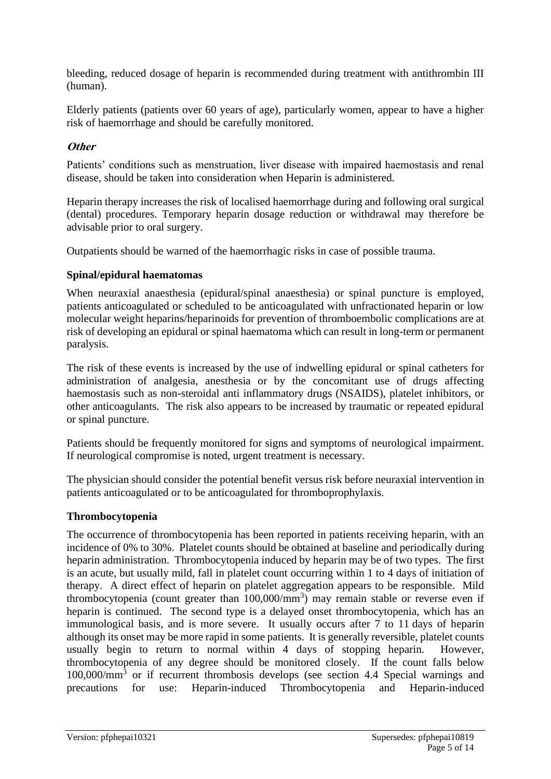bleeding, reduced dosage of heparin is recommended during treatment with antithrombin III (human).

Elderly patients (patients over 60 years of age), particularly women, appear to have a higher risk of haemorrhage and should be carefully monitored.

### **Other**

Patients' conditions such as menstruation, liver disease with impaired haemostasis and renal disease, should be taken into consideration when Heparin is administered.

Heparin therapy increases the risk of localised haemorrhage during and following oral surgical (dental) procedures. Temporary heparin dosage reduction or withdrawal may therefore be advisable prior to oral surgery.

Outpatients should be warned of the haemorrhagic risks in case of possible trauma.

#### **Spinal/epidural haematomas**

When neuraxial anaesthesia (epidural/spinal anaesthesia) or spinal puncture is employed, patients anticoagulated or scheduled to be anticoagulated with unfractionated heparin or low molecular weight heparins/heparinoids for prevention of thromboembolic complications are at risk of developing an epidural or spinal haematoma which can result in long-term or permanent paralysis.

The risk of these events is increased by the use of indwelling epidural or spinal catheters for administration of analgesia, anesthesia or by the concomitant use of drugs affecting haemostasis such as non-steroidal anti inflammatory drugs (NSAIDS), platelet inhibitors, or other anticoagulants. The risk also appears to be increased by traumatic or repeated epidural or spinal puncture.

Patients should be frequently monitored for signs and symptoms of neurological impairment. If neurological compromise is noted, urgent treatment is necessary.

The physician should consider the potential benefit versus risk before neuraxial intervention in patients anticoagulated or to be anticoagulated for thromboprophylaxis.

### **Thrombocytopenia**

The occurrence of thrombocytopenia has been reported in patients receiving heparin, with an incidence of 0% to 30%. Platelet counts should be obtained at baseline and periodically during heparin administration. Thrombocytopenia induced by heparin may be of two types. The first is an acute, but usually mild, fall in platelet count occurring within 1 to 4 days of initiation of therapy. A direct effect of heparin on platelet aggregation appears to be responsible. Mild thrombocytopenia (count greater than  $100,000/\text{mm}^3$ ) may remain stable or reverse even if heparin is continued. The second type is a delayed onset thrombocytopenia, which has an immunological basis, and is more severe. It usually occurs after 7 to 11 days of heparin although its onset may be more rapid in some patients. It is generally reversible, platelet counts usually begin to return to normal within 4 days of stopping heparin. However, thrombocytopenia of any degree should be monitored closely. If the count falls below 100,000/mm<sup>3</sup> or if recurrent thrombosis develops (see section 4.4 Special warnings and precautions for use: Heparin-induced Thrombocytopenia and Heparin-induced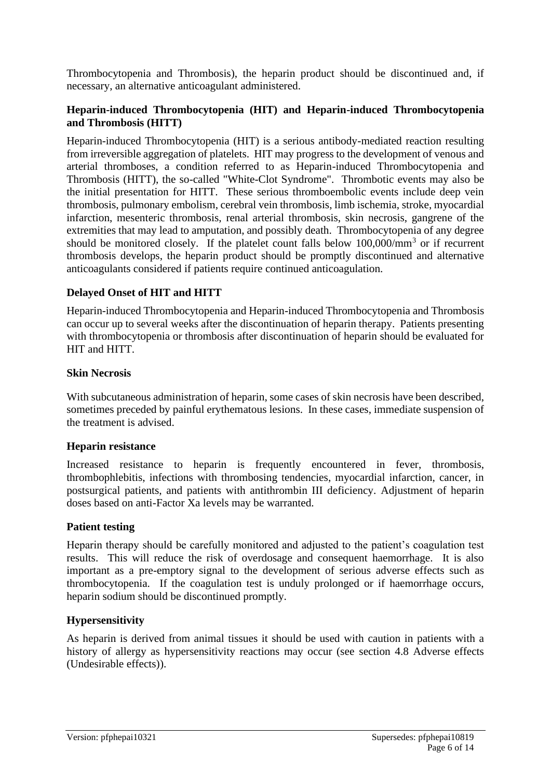Thrombocytopenia and Thrombosis), the heparin product should be discontinued and, if necessary, an alternative anticoagulant administered.

#### **Heparin-induced Thrombocytopenia (HIT) and Heparin-induced Thrombocytopenia and Thrombosis (HITT)**

Heparin-induced Thrombocytopenia (HIT) is a serious antibody-mediated reaction resulting from irreversible aggregation of platelets. HIT may progress to the development of venous and arterial thromboses, a condition referred to as Heparin-induced Thrombocytopenia and Thrombosis (HITT), the so-called "White-Clot Syndrome". Thrombotic events may also be the initial presentation for HITT. These serious thromboembolic events include deep vein thrombosis, pulmonary embolism, cerebral vein thrombosis, limb ischemia, stroke, myocardial infarction, mesenteric thrombosis, renal arterial thrombosis, skin necrosis, gangrene of the extremities that may lead to amputation, and possibly death. Thrombocytopenia of any degree should be monitored closely. If the platelet count falls below  $100,000/\text{mm}^3$  or if recurrent thrombosis develops, the heparin product should be promptly discontinued and alternative anticoagulants considered if patients require continued anticoagulation.

### **Delayed Onset of HIT and HITT**

Heparin-induced Thrombocytopenia and Heparin-induced Thrombocytopenia and Thrombosis can occur up to several weeks after the discontinuation of heparin therapy. Patients presenting with thrombocytopenia or thrombosis after discontinuation of heparin should be evaluated for HIT and HITT.

#### **Skin Necrosis**

With subcutaneous administration of heparin, some cases of skin necrosis have been described, sometimes preceded by painful erythematous lesions. In these cases, immediate suspension of the treatment is advised.

#### **Heparin resistance**

Increased resistance to heparin is frequently encountered in fever, thrombosis, thrombophlebitis, infections with thrombosing tendencies, myocardial infarction, cancer, in postsurgical patients, and patients with antithrombin III deficiency. Adjustment of heparin doses based on anti-Factor Xa levels may be warranted.

#### **Patient testing**

Heparin therapy should be carefully monitored and adjusted to the patient's coagulation test results. This will reduce the risk of overdosage and consequent haemorrhage. It is also important as a pre-emptory signal to the development of serious adverse effects such as thrombocytopenia. If the coagulation test is unduly prolonged or if haemorrhage occurs, heparin sodium should be discontinued promptly.

#### **Hypersensitivity**

As heparin is derived from animal tissues it should be used with caution in patients with a history of allergy as hypersensitivity reactions may occur (see section 4.8 Adverse effects (Undesirable effects)).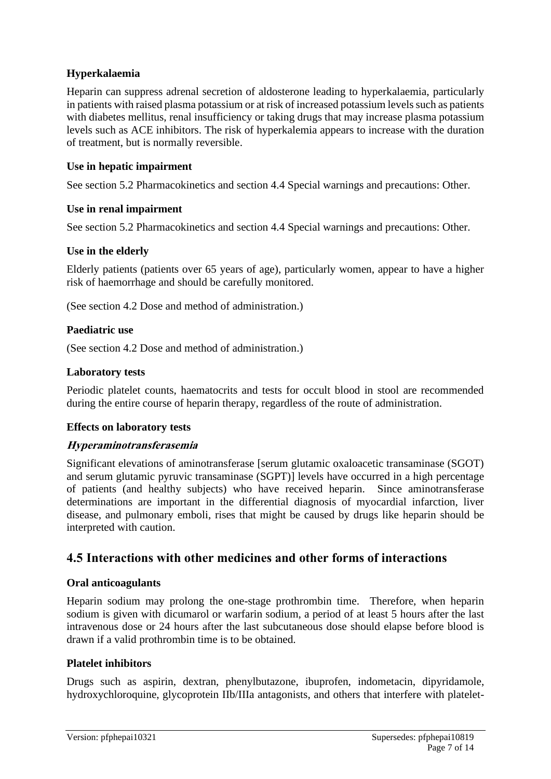### **Hyperkalaemia**

Heparin can suppress adrenal secretion of aldosterone leading to hyperkalaemia, particularly in patients with raised plasma potassium or at risk of increased potassium levels such as patients with diabetes mellitus, renal insufficiency or taking drugs that may increase plasma potassium levels such as ACE inhibitors. The risk of hyperkalemia appears to increase with the duration of treatment, but is normally reversible.

### **Use in hepatic impairment**

See section 5.2 Pharmacokinetics and section 4.4 Special warnings and precautions: Other.

#### **Use in renal impairment**

See section 5.2 Pharmacokinetics and section 4.4 Special warnings and precautions: Other.

### **Use in the elderly**

Elderly patients (patients over 65 years of age), particularly women, appear to have a higher risk of haemorrhage and should be carefully monitored.

(See section 4.2 Dose and method of administration.)

### **Paediatric use**

(See section 4.2 Dose and method of administration.)

### **Laboratory tests**

Periodic platelet counts, haematocrits and tests for occult blood in stool are recommended during the entire course of heparin therapy, regardless of the route of administration.

### **Effects on laboratory tests**

#### **Hyperaminotransferasemia**

Significant elevations of aminotransferase [serum glutamic oxaloacetic transaminase (SGOT) and serum glutamic pyruvic transaminase (SGPT)] levels have occurred in a high percentage of patients (and healthy subjects) who have received heparin. Since aminotransferase determinations are important in the differential diagnosis of myocardial infarction, liver disease, and pulmonary emboli, rises that might be caused by drugs like heparin should be interpreted with caution.

# **4.5 Interactions with other medicines and other forms of interactions**

#### **Oral anticoagulants**

Heparin sodium may prolong the one-stage prothrombin time. Therefore, when heparin sodium is given with dicumarol or warfarin sodium, a period of at least 5 hours after the last intravenous dose or 24 hours after the last subcutaneous dose should elapse before blood is drawn if a valid prothrombin time is to be obtained.

#### **Platelet inhibitors**

Drugs such as aspirin, dextran, phenylbutazone, ibuprofen, indometacin, dipyridamole, hydroxychloroquine, glycoprotein IIb/IIIa antagonists, and others that interfere with platelet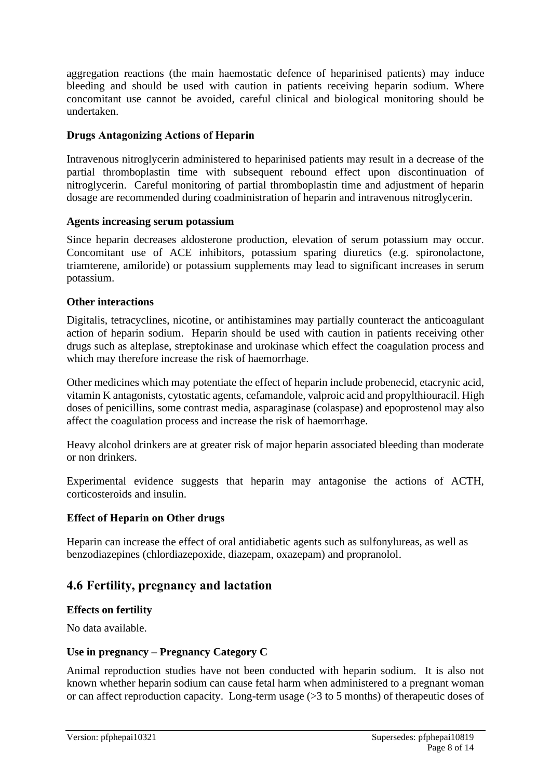aggregation reactions (the main haemostatic defence of heparinised patients) may induce bleeding and should be used with caution in patients receiving heparin sodium. Where concomitant use cannot be avoided, careful clinical and biological monitoring should be undertaken.

#### **Drugs Antagonizing Actions of Heparin**

Intravenous nitroglycerin administered to heparinised patients may result in a decrease of the partial thromboplastin time with subsequent rebound effect upon discontinuation of nitroglycerin. Careful monitoring of partial thromboplastin time and adjustment of heparin dosage are recommended during coadministration of heparin and intravenous nitroglycerin.

#### **Agents increasing serum potassium**

Since heparin decreases aldosterone production, elevation of serum potassium may occur. Concomitant use of ACE inhibitors, potassium sparing diuretics (e.g. spironolactone, triamterene, amiloride) or potassium supplements may lead to significant increases in serum potassium.

### **Other interactions**

Digitalis, tetracyclines, nicotine, or antihistamines may partially counteract the anticoagulant action of heparin sodium. Heparin should be used with caution in patients receiving other drugs such as alteplase, streptokinase and urokinase which effect the coagulation process and which may therefore increase the risk of haemorrhage.

Other medicines which may potentiate the effect of heparin include probenecid, etacrynic acid, vitamin K antagonists, cytostatic agents, cefamandole, valproic acid and propylthiouracil. High doses of penicillins, some contrast media, asparaginase (colaspase) and epoprostenol may also affect the coagulation process and increase the risk of haemorrhage.

Heavy alcohol drinkers are at greater risk of major heparin associated bleeding than moderate or non drinkers.

Experimental evidence suggests that heparin may antagonise the actions of ACTH, corticosteroids and insulin.

### **Effect of Heparin on Other drugs**

Heparin can increase the effect of oral antidiabetic agents such as sulfonylureas, as well as benzodiazepines (chlordiazepoxide, diazepam, oxazepam) and propranolol.

# **4.6 Fertility, pregnancy and lactation**

#### **Effects on fertility**

No data available.

### **Use in pregnancy – Pregnancy Category C**

Animal reproduction studies have not been conducted with heparin sodium. It is also not known whether heparin sodium can cause fetal harm when administered to a pregnant woman or can affect reproduction capacity. Long-term usage (>3 to 5 months) of therapeutic doses of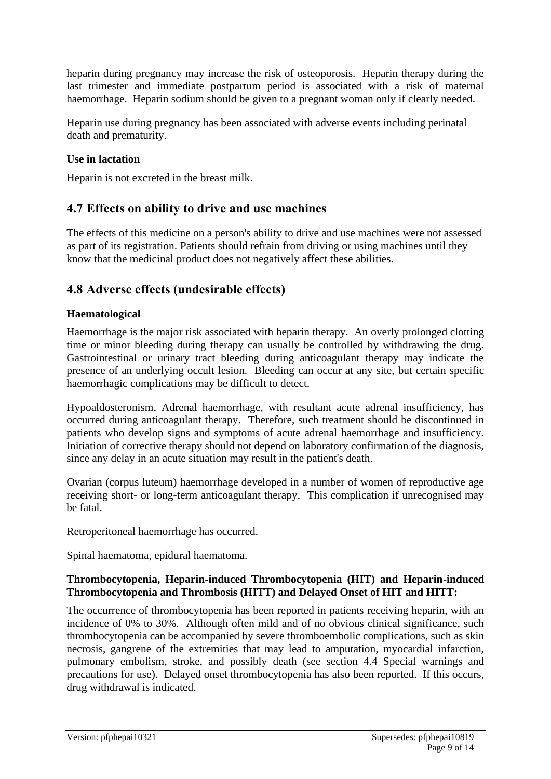heparin during pregnancy may increase the risk of osteoporosis. Heparin therapy during the last trimester and immediate postpartum period is associated with a risk of maternal haemorrhage. Heparin sodium should be given to a pregnant woman only if clearly needed.

Heparin use during pregnancy has been associated with adverse events including perinatal death and prematurity.

### **Use in lactation**

Heparin is not excreted in the breast milk.

# **4.7 Effects on ability to drive and use machines**

The effects of this medicine on a person's ability to drive and use machines were not assessed as part of its registration. Patients should refrain from driving or using machines until they know that the medicinal product does not negatively affect these abilities.

# **4.8 Adverse effects (undesirable effects)**

### **Haematological**

Haemorrhage is the major risk associated with heparin therapy. An overly prolonged clotting time or minor bleeding during therapy can usually be controlled by withdrawing the drug. Gastrointestinal or urinary tract bleeding during anticoagulant therapy may indicate the presence of an underlying occult lesion. Bleeding can occur at any site, but certain specific haemorrhagic complications may be difficult to detect.

Hypoaldosteronism, Adrenal haemorrhage, with resultant acute adrenal insufficiency, has occurred during anticoagulant therapy. Therefore, such treatment should be discontinued in patients who develop signs and symptoms of acute adrenal haemorrhage and insufficiency. Initiation of corrective therapy should not depend on laboratory confirmation of the diagnosis, since any delay in an acute situation may result in the patient's death.

Ovarian (corpus luteum) haemorrhage developed in a number of women of reproductive age receiving short- or long-term anticoagulant therapy. This complication if unrecognised may be fatal.

Retroperitoneal haemorrhage has occurred.

Spinal haematoma, epidural haematoma.

### **Thrombocytopenia, Heparin-induced Thrombocytopenia (HIT) and Heparin-induced Thrombocytopenia and Thrombosis (HITT) and Delayed Onset of HIT and HITT:**

The occurrence of thrombocytopenia has been reported in patients receiving heparin, with an incidence of 0% to 30%. Although often mild and of no obvious clinical significance, such thrombocytopenia can be accompanied by severe thromboembolic complications, such as skin necrosis, gangrene of the extremities that may lead to amputation, myocardial infarction, pulmonary embolism, stroke, and possibly death (see section 4.4 Special warnings and precautions for use). Delayed onset thrombocytopenia has also been reported. If this occurs, drug withdrawal is indicated.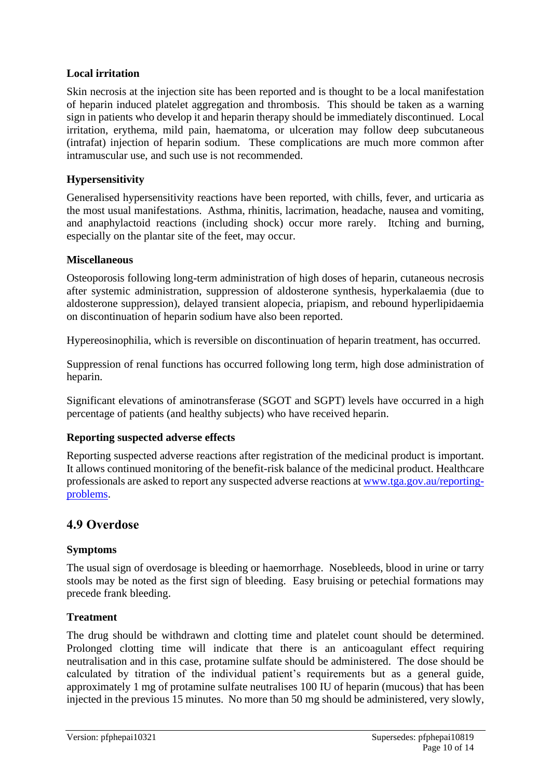### **Local irritation**

Skin necrosis at the injection site has been reported and is thought to be a local manifestation of heparin induced platelet aggregation and thrombosis. This should be taken as a warning sign in patients who develop it and heparin therapy should be immediately discontinued. Local irritation, erythema, mild pain, haematoma, or ulceration may follow deep subcutaneous (intrafat) injection of heparin sodium. These complications are much more common after intramuscular use, and such use is not recommended.

### **Hypersensitivity**

Generalised hypersensitivity reactions have been reported, with chills, fever, and urticaria as the most usual manifestations. Asthma, rhinitis, lacrimation, headache, nausea and vomiting, and anaphylactoid reactions (including shock) occur more rarely. Itching and burning, especially on the plantar site of the feet, may occur.

#### **Miscellaneous**

Osteoporosis following long-term administration of high doses of heparin, cutaneous necrosis after systemic administration, suppression of aldosterone synthesis, hyperkalaemia (due to aldosterone suppression), delayed transient alopecia, priapism, and rebound hyperlipidaemia on discontinuation of heparin sodium have also been reported.

Hypereosinophilia, which is reversible on discontinuation of heparin treatment, has occurred.

Suppression of renal functions has occurred following long term, high dose administration of heparin.

Significant elevations of aminotransferase (SGOT and SGPT) levels have occurred in a high percentage of patients (and healthy subjects) who have received heparin.

#### **Reporting suspected adverse effects**

Reporting suspected adverse reactions after registration of the medicinal product is important. It allows continued monitoring of the benefit-risk balance of the medicinal product. Healthcare professionals are asked to report any suspected adverse reactions at [www.tga.gov.au/reporting](http://www.tga.gov.au/reporting-problems)[problems.](http://www.tga.gov.au/reporting-problems)

# **4.9 Overdose**

#### **Symptoms**

The usual sign of overdosage is bleeding or haemorrhage. Nosebleeds, blood in urine or tarry stools may be noted as the first sign of bleeding. Easy bruising or petechial formations may precede frank bleeding.

#### **Treatment**

The drug should be withdrawn and clotting time and platelet count should be determined. Prolonged clotting time will indicate that there is an anticoagulant effect requiring neutralisation and in this case, protamine sulfate should be administered. The dose should be calculated by titration of the individual patient's requirements but as a general guide, approximately 1 mg of protamine sulfate neutralises 100 IU of heparin (mucous) that has been injected in the previous 15 minutes. No more than 50 mg should be administered, very slowly,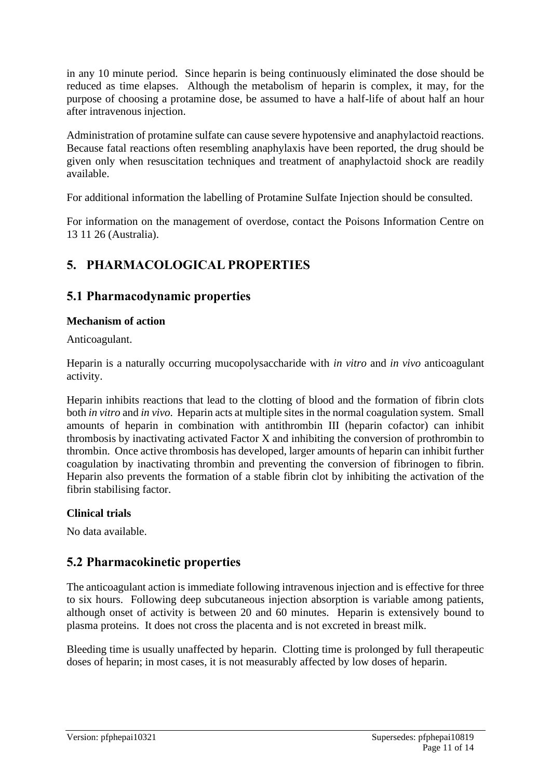in any 10 minute period. Since heparin is being continuously eliminated the dose should be reduced as time elapses. Although the metabolism of heparin is complex, it may, for the purpose of choosing a protamine dose, be assumed to have a half-life of about half an hour after intravenous injection.

Administration of protamine sulfate can cause severe hypotensive and anaphylactoid reactions. Because fatal reactions often resembling anaphylaxis have been reported, the drug should be given only when resuscitation techniques and treatment of anaphylactoid shock are readily available.

For additional information the labelling of Protamine Sulfate Injection should be consulted.

For information on the management of overdose, contact the Poisons Information Centre on 13 11 26 (Australia).

# **5. PHARMACOLOGICAL PROPERTIES**

# **5.1 Pharmacodynamic properties**

### **Mechanism of action**

Anticoagulant.

Heparin is a naturally occurring mucopolysaccharide with *in vitro* and *in vivo* anticoagulant activity.

Heparin inhibits reactions that lead to the clotting of blood and the formation of fibrin clots both *in vitro* and *in vivo*. Heparin acts at multiple sites in the normal coagulation system. Small amounts of heparin in combination with antithrombin III (heparin cofactor) can inhibit thrombosis by inactivating activated Factor X and inhibiting the conversion of prothrombin to thrombin. Once active thrombosis has developed, larger amounts of heparin can inhibit further coagulation by inactivating thrombin and preventing the conversion of fibrinogen to fibrin. Heparin also prevents the formation of a stable fibrin clot by inhibiting the activation of the fibrin stabilising factor.

### **Clinical trials**

No data available.

# **5.2 Pharmacokinetic properties**

The anticoagulant action is immediate following intravenous injection and is effective for three to six hours. Following deep subcutaneous injection absorption is variable among patients, although onset of activity is between 20 and 60 minutes. Heparin is extensively bound to plasma proteins. It does not cross the placenta and is not excreted in breast milk.

Bleeding time is usually unaffected by heparin. Clotting time is prolonged by full therapeutic doses of heparin; in most cases, it is not measurably affected by low doses of heparin.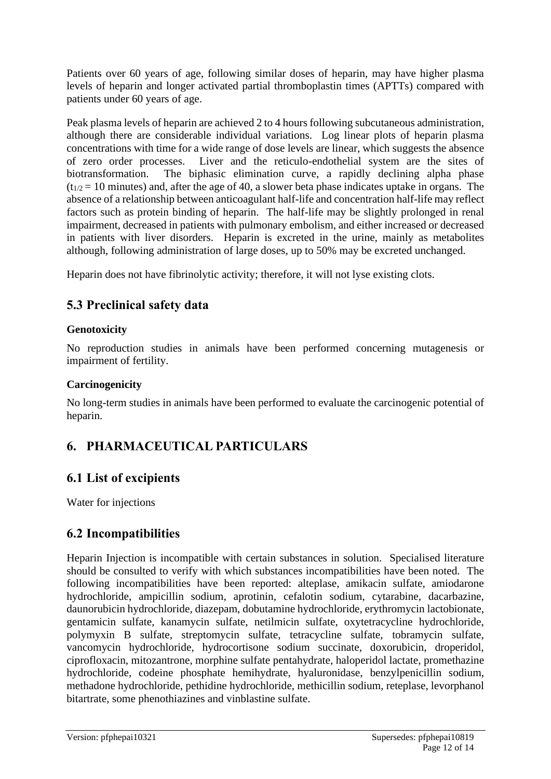Patients over 60 years of age, following similar doses of heparin, may have higher plasma levels of heparin and longer activated partial thromboplastin times (APTTs) compared with patients under 60 years of age.

Peak plasma levels of heparin are achieved 2 to 4 hours following subcutaneous administration, although there are considerable individual variations. Log linear plots of heparin plasma concentrations with time for a wide range of dose levels are linear, which suggests the absence of zero order processes. Liver and the reticulo-endothelial system are the sites of biotransformation. The biphasic elimination curve, a rapidly declining alpha phase  $(t_{1/2} = 10$  minutes) and, after the age of 40, a slower beta phase indicates uptake in organs. The absence of a relationship between anticoagulant half-life and concentration half-life may reflect factors such as protein binding of heparin. The half-life may be slightly prolonged in renal impairment, decreased in patients with pulmonary embolism, and either increased or decreased in patients with liver disorders. Heparin is excreted in the urine, mainly as metabolites although, following administration of large doses, up to 50% may be excreted unchanged.

Heparin does not have fibrinolytic activity; therefore, it will not lyse existing clots.

# **5.3 Preclinical safety data**

# **Genotoxicity**

No reproduction studies in animals have been performed concerning mutagenesis or impairment of fertility.

### **Carcinogenicity**

No long-term studies in animals have been performed to evaluate the carcinogenic potential of heparin.

# **6. PHARMACEUTICAL PARTICULARS**

# **6.1 List of excipients**

Water for injections

# **6.2 Incompatibilities**

Heparin Injection is incompatible with certain substances in solution. Specialised literature should be consulted to verify with which substances incompatibilities have been noted. The following incompatibilities have been reported: alteplase, amikacin sulfate, amiodarone hydrochloride, ampicillin sodium, aprotinin, cefalotin sodium, cytarabine, dacarbazine, daunorubicin hydrochloride, diazepam, dobutamine hydrochloride, erythromycin lactobionate, gentamicin sulfate, kanamycin sulfate, netilmicin sulfate, oxytetracycline hydrochloride, polymyxin B sulfate, streptomycin sulfate, tetracycline sulfate, tobramycin sulfate, vancomycin hydrochloride, hydrocortisone sodium succinate, doxorubicin, droperidol, ciprofloxacin, mitozantrone, morphine sulfate pentahydrate, haloperidol lactate, promethazine hydrochloride, codeine phosphate hemihydrate, hyaluronidase, benzylpenicillin sodium, methadone hydrochloride, pethidine hydrochloride, methicillin sodium, reteplase, levorphanol bitartrate, some phenothiazines and vinblastine sulfate.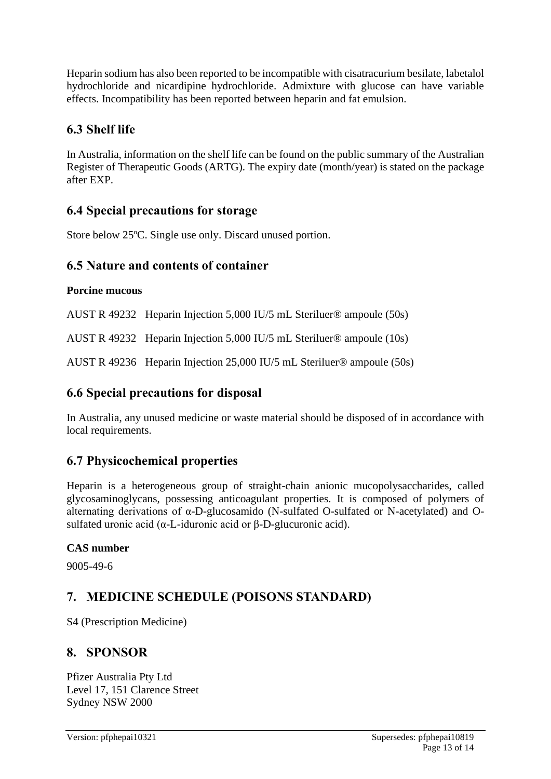Heparin sodium has also been reported to be incompatible with cisatracurium besilate, labetalol hydrochloride and nicardipine hydrochloride. Admixture with glucose can have variable effects. Incompatibility has been reported between heparin and fat emulsion.

# **6.3 Shelf life**

In Australia, information on the shelf life can be found on the public summary of the Australian Register of Therapeutic Goods (ARTG). The expiry date (month/year) is stated on the package after EXP.

# **6.4 Special precautions for storage**

Store below 25ºC. Single use only. Discard unused portion.

# **6.5 Nature and contents of container**

# **Porcine mucous**

AUST R 49232 Heparin Injection 5,000 IU/5 mL Steriluer® ampoule (50s)

AUST R 49232 Heparin Injection 5,000 IU/5 mL Steriluer® ampoule (10s)

AUST R 49236 Heparin Injection 25,000 IU/5 mL Steriluer® ampoule (50s)

# **6.6 Special precautions for disposal**

In Australia, any unused medicine or waste material should be disposed of in accordance with local requirements.

# **6.7 Physicochemical properties**

Heparin is a heterogeneous group of straight-chain anionic mucopolysaccharides, called glycosaminoglycans, possessing anticoagulant properties. It is composed of polymers of alternating derivations of α-D-glucosamido (N-sulfated O-sulfated or N-acetylated) and Osulfated uronic acid (α-L-iduronic acid or β-D-glucuronic acid).

# **CAS number**

9005-49-6

# **7. MEDICINE SCHEDULE (POISONS STANDARD)**

S4 (Prescription Medicine)

# **8. SPONSOR**

Pfizer Australia Pty Ltd Level 17, 151 Clarence Street Sydney NSW 2000